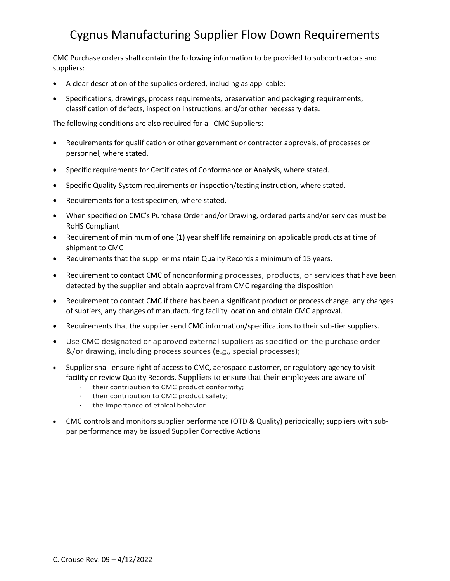## Cygnus Manufacturing Supplier Flow Down Requirements

CMC Purchase orders shall contain the following information to be provided to subcontractors and suppliers:

- A clear description of the supplies ordered, including as applicable:
- Specifications, drawings, process requirements, preservation and packaging requirements, classification of defects, inspection instructions, and/or other necessary data.

The following conditions are also required for all CMC Suppliers:

- Requirements for qualification or other government or contractor approvals, of processes or personnel, where stated.
- Specific requirements for Certificates of Conformance or Analysis, where stated.
- Specific Quality System requirements or inspection/testing instruction, where stated.
- Requirements for a test specimen, where stated.
- When specified on CMC's Purchase Order and/or Drawing, ordered parts and/or services must be RoHS Compliant
- Requirement of minimum of one (1) year shelf life remaining on applicable products at time of shipment to CMC
- Requirements that the supplier maintain Quality Records a minimum of 15 years.
- Requirement to contact CMC of nonconforming processes, products, or services that have been detected by the supplier and obtain approval from CMC regarding the disposition
- Requirement to contact CMC if there has been a significant product or process change, any changes of subtiers, any changes of manufacturing facility location and obtain CMC approval.
- Requirements that the supplier send CMC information/specifications to their sub-tier suppliers.
- Use CMC-designated or approved external suppliers as specified on the purchase order &/or drawing, including process sources (e.g., special processes);
- Supplier shall ensure right of access to CMC, aerospace customer, or regulatory agency to visit facility or review Quality Records. Suppliers to ensure that their employees are aware of
	- their contribution to CMC product conformity;
	- their contribution to CMC product safety;
	- the importance of ethical behavior
- CMC controls and monitors supplier performance (OTD & Quality) periodically; suppliers with subpar performance may be issued Supplier Corrective Actions